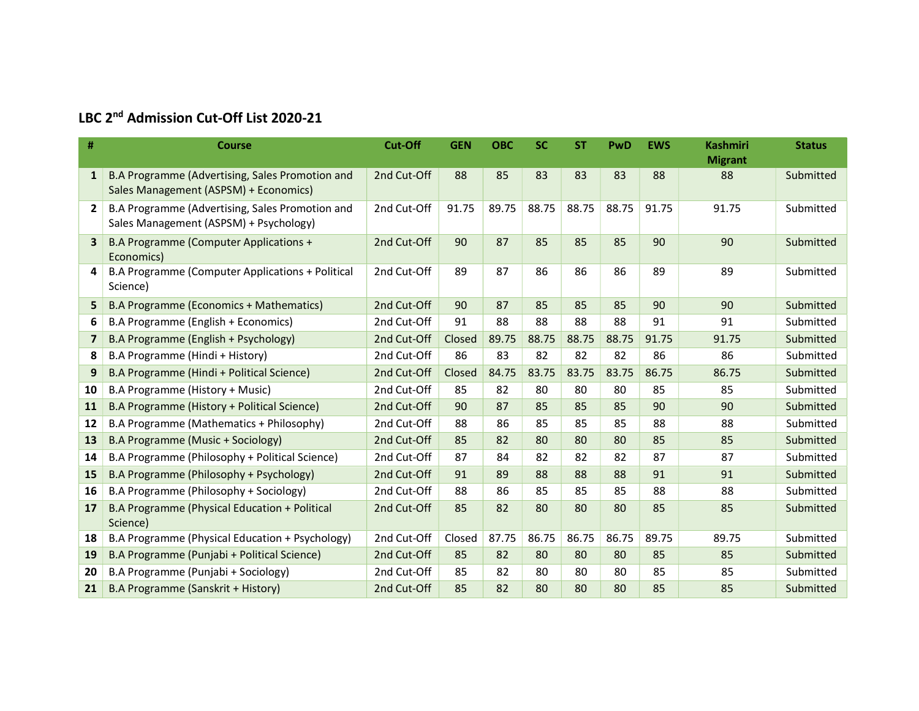## LBC 2<sup>nd</sup> Admission Cut-Off List 2020-21

| #              | <b>Course</b>                                                                             | <b>Cut-Off</b> | <b>GEN</b> | <b>OBC</b> | <b>SC</b> | <b>ST</b> | PwD   | <b>EWS</b> | <b>Kashmiri</b> | <b>Status</b> |
|----------------|-------------------------------------------------------------------------------------------|----------------|------------|------------|-----------|-----------|-------|------------|-----------------|---------------|
|                |                                                                                           |                |            |            |           |           |       |            | <b>Migrant</b>  |               |
| $\mathbf{1}$   | B.A Programme (Advertising, Sales Promotion and<br>Sales Management (ASPSM) + Economics)  | 2nd Cut-Off    | 88         | 85         | 83        | 83        | 83    | 88         | 88              | Submitted     |
| $\overline{2}$ | B.A Programme (Advertising, Sales Promotion and<br>Sales Management (ASPSM) + Psychology) | 2nd Cut-Off    | 91.75      | 89.75      | 88.75     | 88.75     | 88.75 | 91.75      | 91.75           | Submitted     |
| 3              | B.A Programme (Computer Applications +<br>Economics)                                      | 2nd Cut-Off    | 90         | 87         | 85        | 85        | 85    | 90         | 90              | Submitted     |
| 4              | B.A Programme (Computer Applications + Political<br>Science)                              | 2nd Cut-Off    | 89         | 87         | 86        | 86        | 86    | 89         | 89              | Submitted     |
| 5              | <b>B.A Programme (Economics + Mathematics)</b>                                            | 2nd Cut-Off    | 90         | 87         | 85        | 85        | 85    | 90         | 90              | Submitted     |
| 6              | B.A Programme (English + Economics)                                                       | 2nd Cut-Off    | 91         | 88         | 88        | 88        | 88    | 91         | 91              | Submitted     |
| $\overline{7}$ | B.A Programme (English + Psychology)                                                      | 2nd Cut-Off    | Closed     | 89.75      | 88.75     | 88.75     | 88.75 | 91.75      | 91.75           | Submitted     |
| 8              | B.A Programme (Hindi + History)                                                           | 2nd Cut-Off    | 86         | 83         | 82        | 82        | 82    | 86         | 86              | Submitted     |
| 9              | B.A Programme (Hindi + Political Science)                                                 | 2nd Cut-Off    | Closed     | 84.75      | 83.75     | 83.75     | 83.75 | 86.75      | 86.75           | Submitted     |
| 10             | B.A Programme (History + Music)                                                           | 2nd Cut-Off    | 85         | 82         | 80        | 80        | 80    | 85         | 85              | Submitted     |
| 11             | B.A Programme (History + Political Science)                                               | 2nd Cut-Off    | 90         | 87         | 85        | 85        | 85    | 90         | 90              | Submitted     |
| 12             | B.A Programme (Mathematics + Philosophy)                                                  | 2nd Cut-Off    | 88         | 86         | 85        | 85        | 85    | 88         | 88              | Submitted     |
| 13             | B.A Programme (Music + Sociology)                                                         | 2nd Cut-Off    | 85         | 82         | 80        | 80        | 80    | 85         | 85              | Submitted     |
| 14             | B.A Programme (Philosophy + Political Science)                                            | 2nd Cut-Off    | 87         | 84         | 82        | 82        | 82    | 87         | 87              | Submitted     |
| 15             | B.A Programme (Philosophy + Psychology)                                                   | 2nd Cut-Off    | 91         | 89         | 88        | 88        | 88    | 91         | 91              | Submitted     |
| 16             | B.A Programme (Philosophy + Sociology)                                                    | 2nd Cut-Off    | 88         | 86         | 85        | 85        | 85    | 88         | 88              | Submitted     |
| 17             | B.A Programme (Physical Education + Political<br>Science)                                 | 2nd Cut-Off    | 85         | 82         | 80        | 80        | 80    | 85         | 85              | Submitted     |
| 18             | B.A Programme (Physical Education + Psychology)                                           | 2nd Cut-Off    | Closed     | 87.75      | 86.75     | 86.75     | 86.75 | 89.75      | 89.75           | Submitted     |
| 19             | B.A Programme (Punjabi + Political Science)                                               | 2nd Cut-Off    | 85         | 82         | 80        | 80        | 80    | 85         | 85              | Submitted     |
| 20             | B.A Programme (Punjabi + Sociology)                                                       | 2nd Cut-Off    | 85         | 82         | 80        | 80        | 80    | 85         | 85              | Submitted     |
| 21             | B.A Programme (Sanskrit + History)                                                        | 2nd Cut-Off    | 85         | 82         | 80        | 80        | 80    | 85         | 85              | Submitted     |